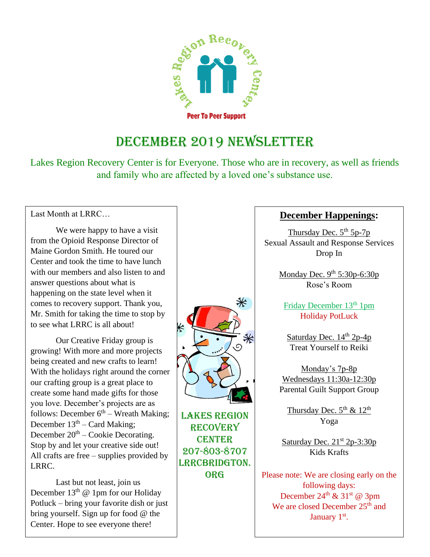

### DECEMBER 2019 NEWSLETTER

Lakes Region Recovery Center is for Everyone. Those who are in recovery, as well as friends and family who are affected by a loved one's substance use.

Last Month at LRRC…

We were happy to have a visit from the Opioid Response Director of Maine Gordon Smith. He toured our Center and took the time to have lunch with our members and also listen to and answer questions about what is happening on the state level when it comes to recovery support. Thank you, Mr. Smith for taking the time to stop by to see what LRRC is all about!

Our Creative Friday group is growing! With more and more projects being created and new crafts to learn! With the holidays right around the corner our crafting group is a great place to create some hand made gifts for those you love. December's projects are as follows: December  $6<sup>th</sup>$  – Wreath Making; December  $13<sup>th</sup>$  – Card Making; December  $20<sup>th</sup>$  – Cookie Decorating. Stop by and let your creative side out! All crafts are free – supplies provided by LRRC.

Last but not least, join us December  $13<sup>th</sup>$  @ 1pm for our Holiday Potluck – bring your favorite dish or just bring yourself. Sign up for food @ the Center. Hope to see everyone there!



Lakes Region **RECOVERY CENTER** 207-803-8707 LRRCBRIDGTON. **ORG** 

#### **December Happenings:**

Thursday Dec.  $5<sup>th</sup> 5p-7p$ Sexual Assault and Response Services Drop In

> Monday Dec.  $9^{th}$  5:30p-6:30p Rose's Room

Friday December 13<sup>th</sup> 1pm Holiday PotLuck

Saturday Dec.  $14<sup>th</sup> 2p-4p$ Treat Yourself to Reiki

Monday's 7p-8p Wednesdays 11:30a-12:30p Parental Guilt Support Group

Thursday Dec.  $5^{\text{th}}$  &  $12^{\text{th}}$ Yoga

Saturday Dec.  $21^{st} 2p-3:30p$ Kids Krafts

Please note: We are closing early on the following days: December  $24^{th}$  &  $31^{st}$  @ 3pm We are closed December 25<sup>th</sup> and January 1<sup>st</sup>.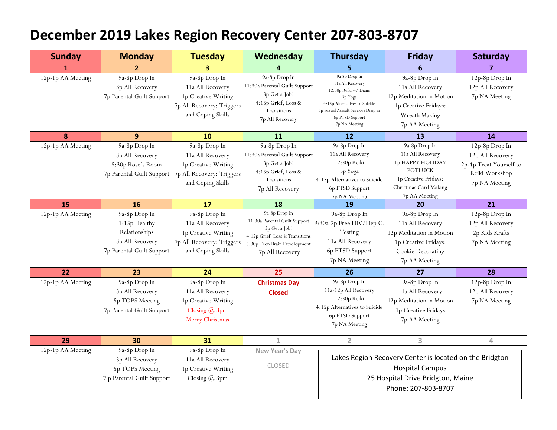## **December 2019 Lakes Region Recovery Center 207-803-8707**

| <b>Sunday</b>     | <b>Monday</b>                                                                                   | <b>Tuesday</b>                                                                                             | Wednesday                                                                                                                                             | <b>Thursday</b>                                                                                                                                                                  | <b>Friday</b>                                                                                                                             | Saturday                                                                                         |
|-------------------|-------------------------------------------------------------------------------------------------|------------------------------------------------------------------------------------------------------------|-------------------------------------------------------------------------------------------------------------------------------------------------------|----------------------------------------------------------------------------------------------------------------------------------------------------------------------------------|-------------------------------------------------------------------------------------------------------------------------------------------|--------------------------------------------------------------------------------------------------|
| 1                 | $\mathbf{2}$                                                                                    | 3                                                                                                          | 4                                                                                                                                                     |                                                                                                                                                                                  | 6                                                                                                                                         | $\overline{ }$                                                                                   |
| 12p-1p AA Meeting | 9a-8p Drop In<br>3p All Recovery<br>7p Parental Guilt Support                                   | 9a-8p Drop In<br>11a All Recovery<br>1p Creative Writing<br>7p All Recovery: Triggers<br>and Coping Skills | 9a-8p Drop In<br>11:30a Parental Guilt Support<br>3p Get a Job!<br>4:15p Grief, Loss &<br>Transitions<br>7p All Recovery                              | 9a-8p Drop In<br>11a All Recovery<br>12:30p Reiki w/ Diane<br>3p Yoga<br>4:15p Alternatives to Suicide<br>5p Sexual Assault Services Drop in<br>6p PTSD Support<br>7p NA Meeting | 9a-8p Drop In<br>11a All Recovery<br>12p Meditation in Motion<br>1p Creative Fridays:<br>Wreath Making<br>7p AA Meeting                   | 12p-8p Drop In<br>12p All Recovery<br>7p NA Meeting                                              |
| 8                 | 9                                                                                               | 10                                                                                                         | <b>11</b>                                                                                                                                             | 12                                                                                                                                                                               | <b>13</b>                                                                                                                                 | 14                                                                                               |
| 12p-1p AA Meeting | 9a-8p Drop In<br>3p All Recovery<br>5:30p Rose's Room<br>7p Parental Guilt Support              | 9a-8p Drop In<br>11a All Recovery<br>1p Creative Writing<br>7p All Recovery: Triggers<br>and Coping Skills | 9a-8p Drop In<br>11:30a Parental Guilt Support<br>3p Get a Job!<br>4:15p Grief, Loss &<br>Transitions<br>7p All Recovery                              | 9a-8p Drop In<br>11a All Recovery<br>12:30p Reiki<br>3p Yoga<br>4:15p Alternatives to Suicide<br>6p PTSD Support<br>7p NA Meeting                                                | 9a-8p Drop In<br>11a All Recovery<br>1p HAPPY HOLIDAY<br><b>POTLUCK</b><br>1p Creative Fridays:<br>Christmas Card Making<br>7p AA Meeting | 12p-8p Drop In<br>12p All Recovery<br>2p-4p Treat Yourself to<br>Reiki Workshop<br>7p NA Meeting |
| 15                | 16                                                                                              | 17                                                                                                         | 18                                                                                                                                                    | 19                                                                                                                                                                               | 20                                                                                                                                        | 21                                                                                               |
| 12p-1p AA Meeting | 9a-8p Drop In<br>1:15p Healthy<br>Relationships<br>3p All Recovery<br>7p Parental Guilt Support | 9a-8p Drop In<br>11a All Recovery<br>1p Creative Writing<br>7p All Recovery: Triggers<br>and Coping Skills | 9a-8p Drop In<br>11:30a Parental Guilt Support<br>3p Get a Job!<br>4:15p Grief, Loss & Transitions<br>5:30p Teen Brain Development<br>7p All Recovery | 9a-8p Drop In<br>9:30a-2p Free HIV/Hep C<br>Testing<br>11a All Recovery<br>6p PTSD Support<br>7p NA Meeting                                                                      | 9a-8p Drop In<br>11a All Recovery<br>12p Meditation in Motion<br>1p Creative Fridays:<br>Cookie Decorating<br>7p AA Meeting               | 12p-8p Drop In<br>12p All Recovery<br>2p Kids Krafts<br>7p NA Meeting                            |
| 22                | 23                                                                                              | 24                                                                                                         | 25                                                                                                                                                    | 26                                                                                                                                                                               | 27                                                                                                                                        | 28                                                                                               |
| 12p-1p AA Meeting | 9a-8p Drop In<br>3p All Recovery<br>5p TOPS Meeting<br>7p Parental Guilt Support                | 9a-8p Drop In<br>11a All Recovery<br>1p Creative Writing<br>Closing $\omega$ 3pm<br>Merry Christmas        | <b>Christmas Day</b><br><b>Closed</b>                                                                                                                 | 9a-8p Drop In<br>11a-12p All Recovery<br>12:30p Reiki<br>4:15p Alternatives to Suicide<br>6p PTSD Support<br>7p NA Meeting                                                       | 9a-8p Drop In<br>11a All Recovery<br>12p Meditation in Motion<br>1p Creative Fridays<br>7p AA Meeting                                     | 12p-8p Drop In<br>12p All Recovery<br>7p NA Meeting                                              |
| 29                | 30                                                                                              | 31                                                                                                         | $\mathbf 1$                                                                                                                                           | $\overline{2}$                                                                                                                                                                   | 3                                                                                                                                         | 4                                                                                                |
| 12p-1p AA Meeting | 9a-8p Drop In<br>3p All Recovery<br>5p TOPS Meeting<br>7 p Parental Guilt Support               | 9a-8p Drop In<br>11a All Recovery<br>1p Creative Writing<br>Closing $@3pm$                                 | New Year's Day<br><b>CLOSED</b>                                                                                                                       | Lakes Region Recovery Center is located on the Bridgton<br><b>Hospital Campus</b><br>25 Hospital Drive Bridgton, Maine<br>Phone: 207-803-8707                                    |                                                                                                                                           |                                                                                                  |